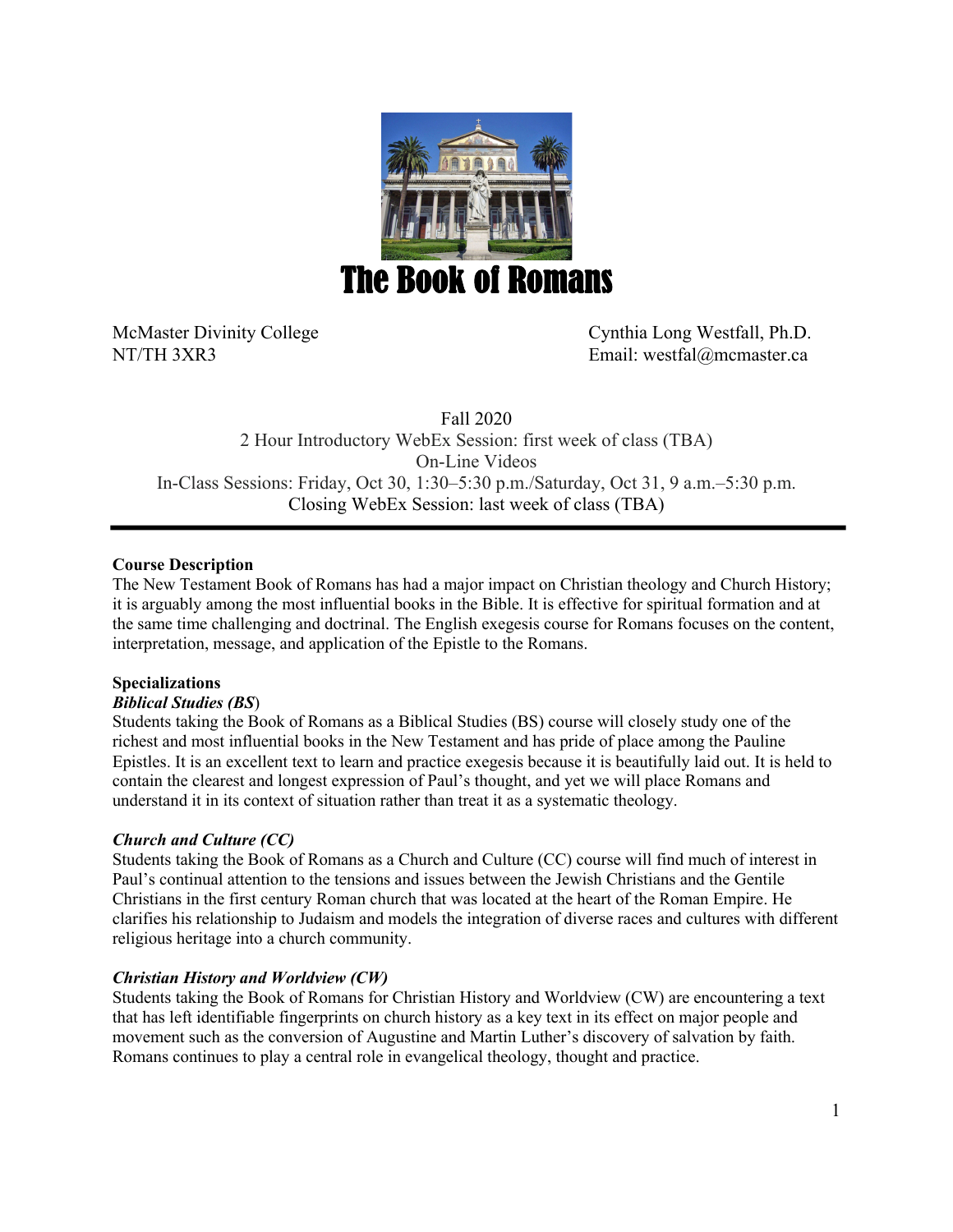

McMaster Divinity College Cynthia Long Westfall, Ph.D. NT/TH 3XR3 Email: westfal@mcmaster.ca

Fall 2020 2 Hour Introductory WebEx Session: first week of class (TBA) On-Line Videos In-Class Sessions: Friday, Oct 30, 1:30–5:30 p.m./Saturday, Oct 31, 9 a.m.–5:30 p.m. Closing WebEx Session: last week of class (TBA)

# **Course Description**

The New Testament Book of Romans has had a major impact on Christian theology and Church History; it is arguably among the most influential books in the Bible. It is effective for spiritual formation and at the same time challenging and doctrinal. The English exegesis course for Romans focuses on the content, interpretation, message, and application of the Epistle to the Romans.

# **Specializations**

# *Biblical Studies (BS*)

Students taking the Book of Romans as a Biblical Studies (BS) course will closely study one of the richest and most influential books in the New Testament and has pride of place among the Pauline Epistles. It is an excellent text to learn and practice exegesis because it is beautifully laid out. It is held to contain the clearest and longest expression of Paul's thought, and yet we will place Romans and understand it in its context of situation rather than treat it as a systematic theology.

# *Church and Culture (CC)*

Students taking the Book of Romans as a Church and Culture (CC) course will find much of interest in Paul's continual attention to the tensions and issues between the Jewish Christians and the Gentile Christians in the first century Roman church that was located at the heart of the Roman Empire. He clarifies his relationship to Judaism and models the integration of diverse races and cultures with different religious heritage into a church community.

# *Christian History and Worldview (CW)*

Students taking the Book of Romans for Christian History and Worldview (CW) are encountering a text that has left identifiable fingerprints on church history as a key text in its effect on major people and movement such as the conversion of Augustine and Martin Luther's discovery of salvation by faith. Romans continues to play a central role in evangelical theology, thought and practice.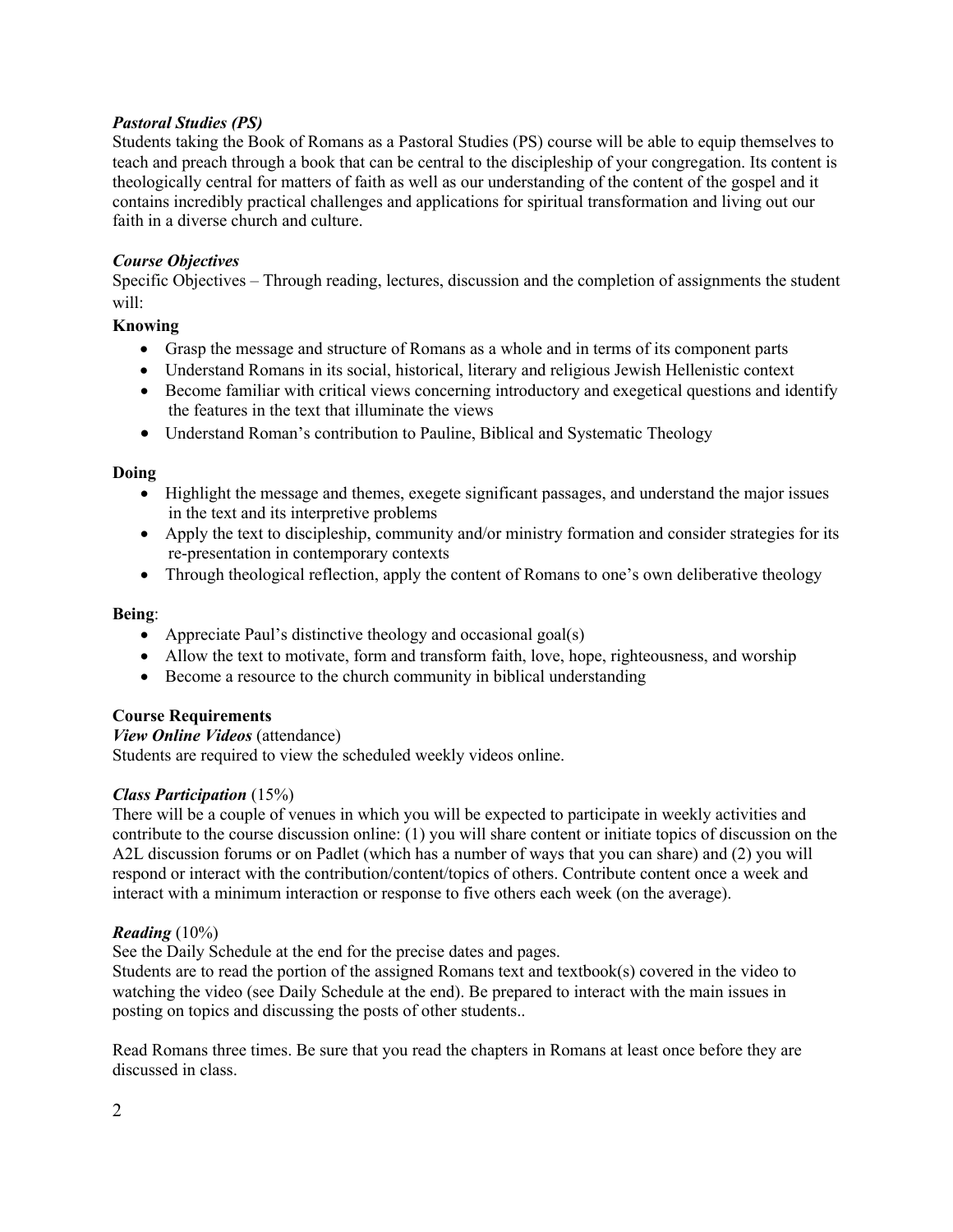# *Pastoral Studies (PS)*

Students taking the Book of Romans as a Pastoral Studies (PS) course will be able to equip themselves to teach and preach through a book that can be central to the discipleship of your congregation. Its content is theologically central for matters of faith as well as our understanding of the content of the gospel and it contains incredibly practical challenges and applications for spiritual transformation and living out our faith in a diverse church and culture.

# *Course Objectives*

Specific Objectives – Through reading, lectures, discussion and the completion of assignments the student will:

# **Knowing**

- Grasp the message and structure of Romans as a whole and in terms of its component parts
- Understand Romans in its social, historical, literary and religious Jewish Hellenistic context
- Become familiar with critical views concerning introductory and exegetical questions and identify the features in the text that illuminate the views
- Understand Roman's contribution to Pauline, Biblical and Systematic Theology

# **Doing**

- Highlight the message and themes, exegete significant passages, and understand the major issues in the text and its interpretive problems
- Apply the text to discipleship, community and/or ministry formation and consider strategies for its re-presentation in contemporary contexts
- Through theological reflection, apply the content of Romans to one's own deliberative theology

# **Being**:

- Appreciate Paul's distinctive theology and occasional goal(s)
- Allow the text to motivate, form and transform faith, love, hope, righteousness, and worship
- Become a resource to the church community in biblical understanding

# **Course Requirements**

*View Online Videos* (attendance) Students are required to view the scheduled weekly videos online.

# *Class Participation* (15%)

There will be a couple of venues in which you will be expected to participate in weekly activities and contribute to the course discussion online: (1) you will share content or initiate topics of discussion on the A2L discussion forums or on Padlet (which has a number of ways that you can share) and (2) you will respond or interact with the contribution/content/topics of others. Contribute content once a week and interact with a minimum interaction or response to five others each week (on the average).

# *Reading* (10%)

See the Daily Schedule at the end for the precise dates and pages.

Students are to read the portion of the assigned Romans text and textbook(s) covered in the video to watching the video (see Daily Schedule at the end). Be prepared to interact with the main issues in posting on topics and discussing the posts of other students..

Read Romans three times. Be sure that you read the chapters in Romans at least once before they are discussed in class.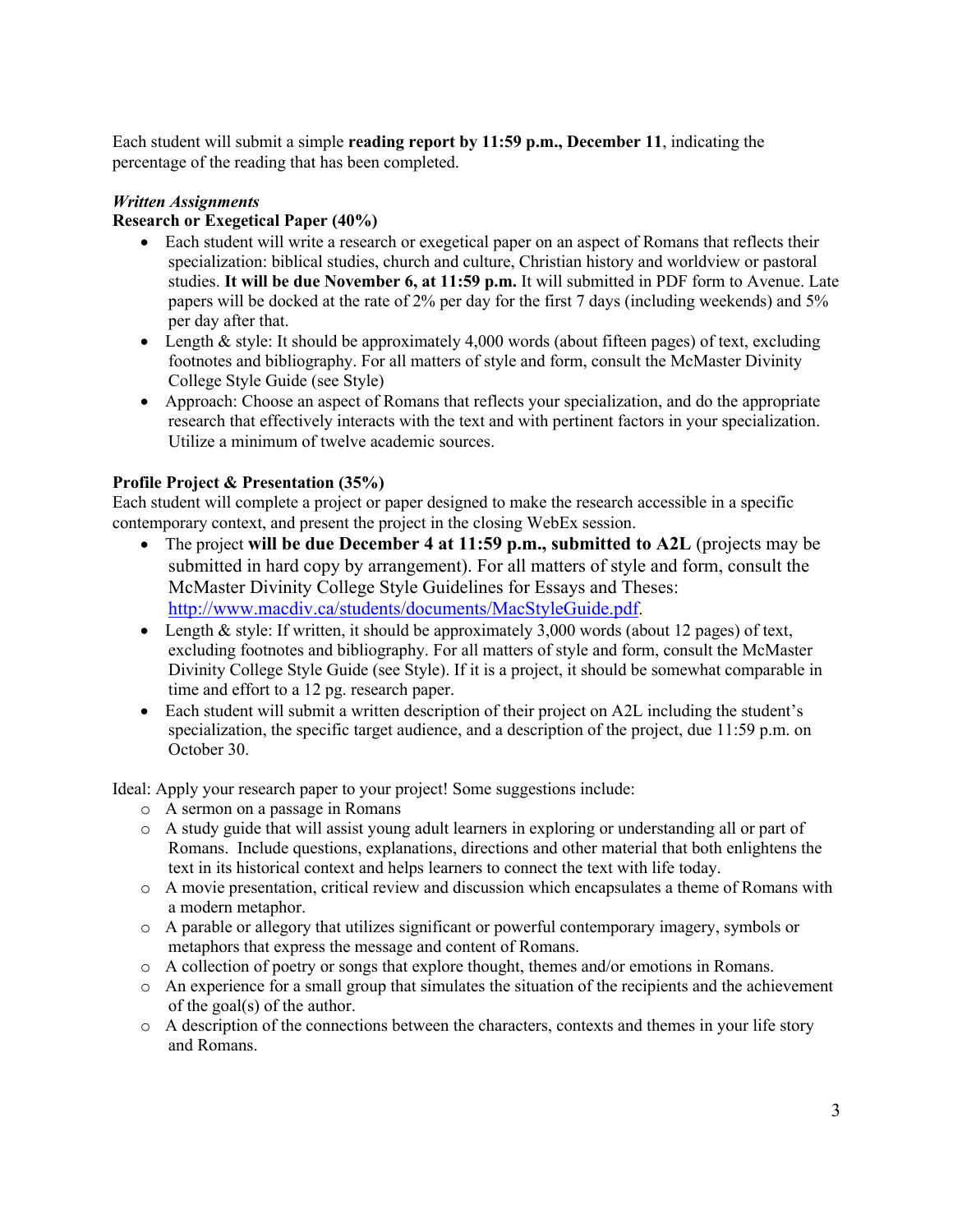Each student will submit a simple **reading report by 11:59 p.m., December 11**, indicating the percentage of the reading that has been completed.

# *Written Assignments*

# **Research or Exegetical Paper (40%)**

- Each student will write a research or exegetical paper on an aspect of Romans that reflects their specialization: biblical studies, church and culture, Christian history and worldview or pastoral studies. **It will be due November 6, at 11:59 p.m.** It will submitted in PDF form to Avenue. Late papers will be docked at the rate of 2% per day for the first 7 days (including weekends) and 5% per day after that.
- Length & style: It should be approximately 4,000 words (about fifteen pages) of text, excluding footnotes and bibliography. For all matters of style and form, consult the McMaster Divinity College Style Guide (see Style)
- Approach: Choose an aspect of Romans that reflects your specialization, and do the appropriate research that effectively interacts with the text and with pertinent factors in your specialization. Utilize a minimum of twelve academic sources.

# **Profile Project & Presentation (35%)**

Each student will complete a project or paper designed to make the research accessible in a specific contemporary context, and present the project in the closing WebEx session.

- The project **will be due December 4 at 11:59 p.m., submitted to A2L** (projects may be submitted in hard copy by arrangement). For all matters of style and form, consult the McMaster Divinity College Style Guidelines for Essays and Theses: http://www.macdiv.ca/students/documents/MacStyleGuide.pdf.
- Length & style: If written, it should be approximately 3,000 words (about 12 pages) of text, excluding footnotes and bibliography. For all matters of style and form, consult the McMaster Divinity College Style Guide (see Style). If it is a project, it should be somewhat comparable in time and effort to a 12 pg. research paper.
- Each student will submit a written description of their project on A2L including the student's specialization, the specific target audience, and a description of the project, due 11:59 p.m. on October 30.

Ideal: Apply your research paper to your project! Some suggestions include:

- o A sermon on a passage in Romans
- o A study guide that will assist young adult learners in exploring or understanding all or part of Romans. Include questions, explanations, directions and other material that both enlightens the text in its historical context and helps learners to connect the text with life today.
- o A movie presentation, critical review and discussion which encapsulates a theme of Romans with a modern metaphor.
- o A parable or allegory that utilizes significant or powerful contemporary imagery, symbols or metaphors that express the message and content of Romans.
- o A collection of poetry or songs that explore thought, themes and/or emotions in Romans.
- o An experience for a small group that simulates the situation of the recipients and the achievement of the goal(s) of the author.
- o A description of the connections between the characters, contexts and themes in your life story and Romans.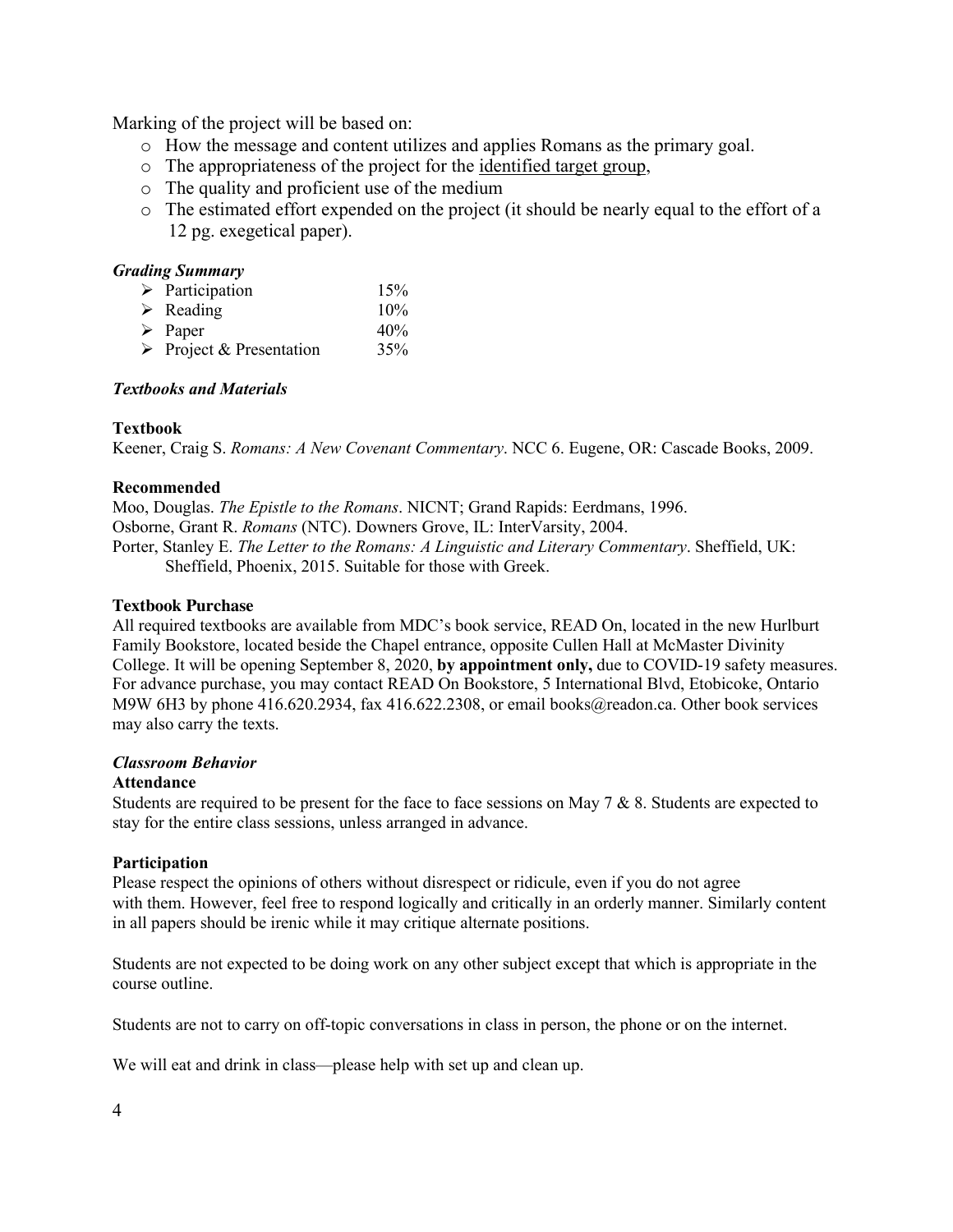Marking of the project will be based on:

- o How the message and content utilizes and applies Romans as the primary goal.
- o The appropriateness of the project for the identified target group,
- o The quality and proficient use of the medium
- o The estimated effort expended on the project (it should be nearly equal to the effort of a 12 pg. exegetical paper).

# *Grading Summary*

| $\triangleright$ Participation          | 15% |
|-----------------------------------------|-----|
| $\triangleright$ Reading                | 10% |
| $\triangleright$ Paper                  | 40% |
| $\triangleright$ Project & Presentation | 35% |

# *Textbooks and Materials*

# **Textbook**

Keener, Craig S. *Romans: A New Covenant Commentary*. NCC 6. Eugene, OR: Cascade Books, 2009.

# **Recommended**

Moo, Douglas. *The Epistle to the Romans*. NICNT; Grand Rapids: Eerdmans, 1996. Osborne, Grant R. *Romans* (NTC). Downers Grove, IL: InterVarsity, 2004. Porter, Stanley E. *The Letter to the Romans: A Linguistic and Literary Commentary*. Sheffield, UK: Sheffield, Phoenix, 2015. Suitable for those with Greek.

# **Textbook Purchase**

All required textbooks are available from MDC's book service, READ On, located in the new Hurlburt Family Bookstore, located beside the Chapel entrance, opposite Cullen Hall at McMaster Divinity College. It will be opening September 8, 2020, **by appointment only,** due to COVID-19 safety measures. For advance purchase, you may contact READ On Bookstore, 5 International Blvd, Etobicoke, Ontario M9W 6H3 by phone 416.620.2934, fax 416.622.2308, or email books@readon.ca. Other book services may also carry the texts.

# *Classroom Behavior*

# **Attendance**

Students are required to be present for the face to face sessions on May  $7 & 8$ . Students are expected to stay for the entire class sessions, unless arranged in advance.

# **Participation**

Please respect the opinions of others without disrespect or ridicule, even if you do not agree with them. However, feel free to respond logically and critically in an orderly manner. Similarly content in all papers should be irenic while it may critique alternate positions.

Students are not expected to be doing work on any other subject except that which is appropriate in the course outline.

Students are not to carry on off-topic conversations in class in person, the phone or on the internet.

We will eat and drink in class—please help with set up and clean up.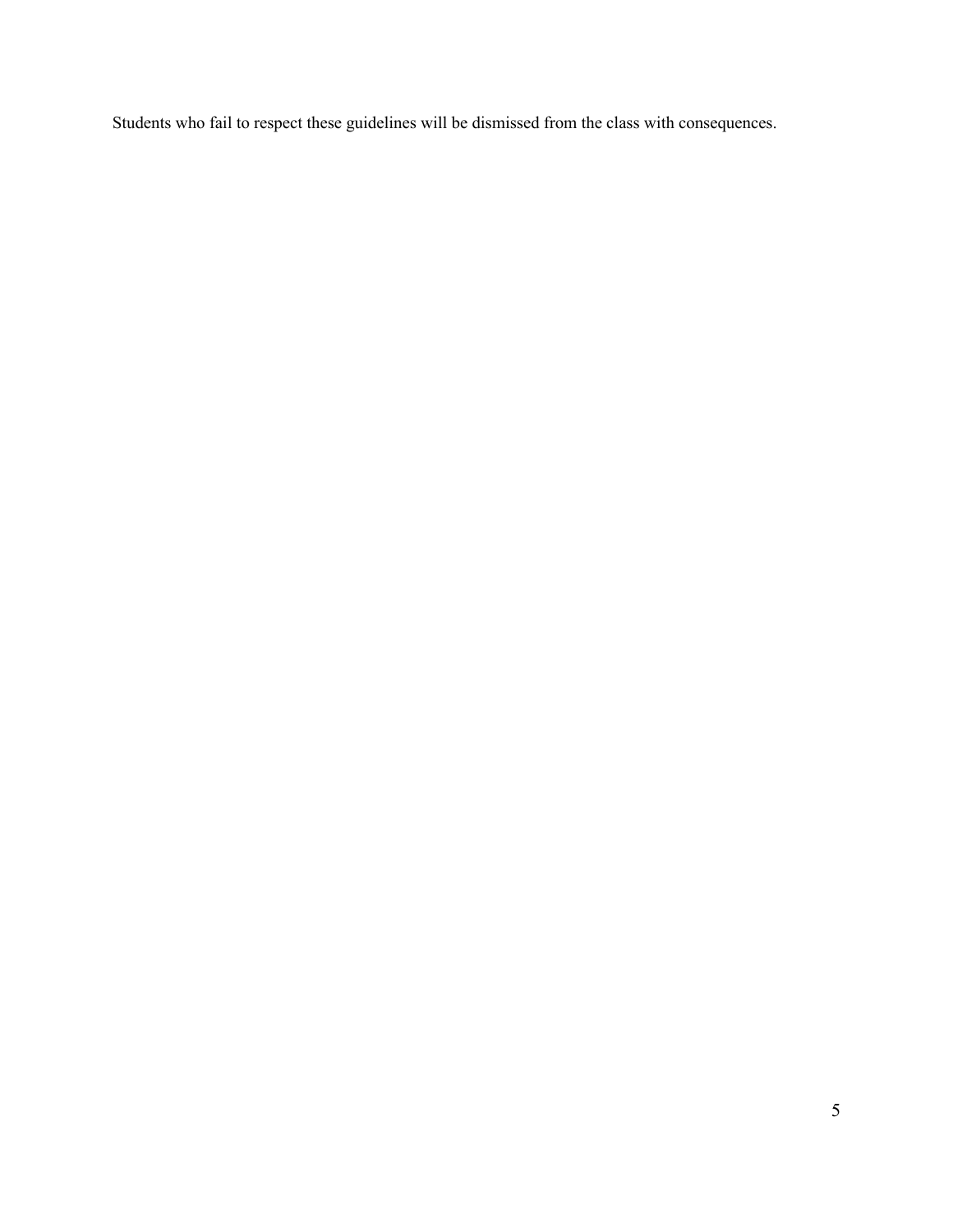Students who fail to respect these guidelines will be dismissed from the class with consequences.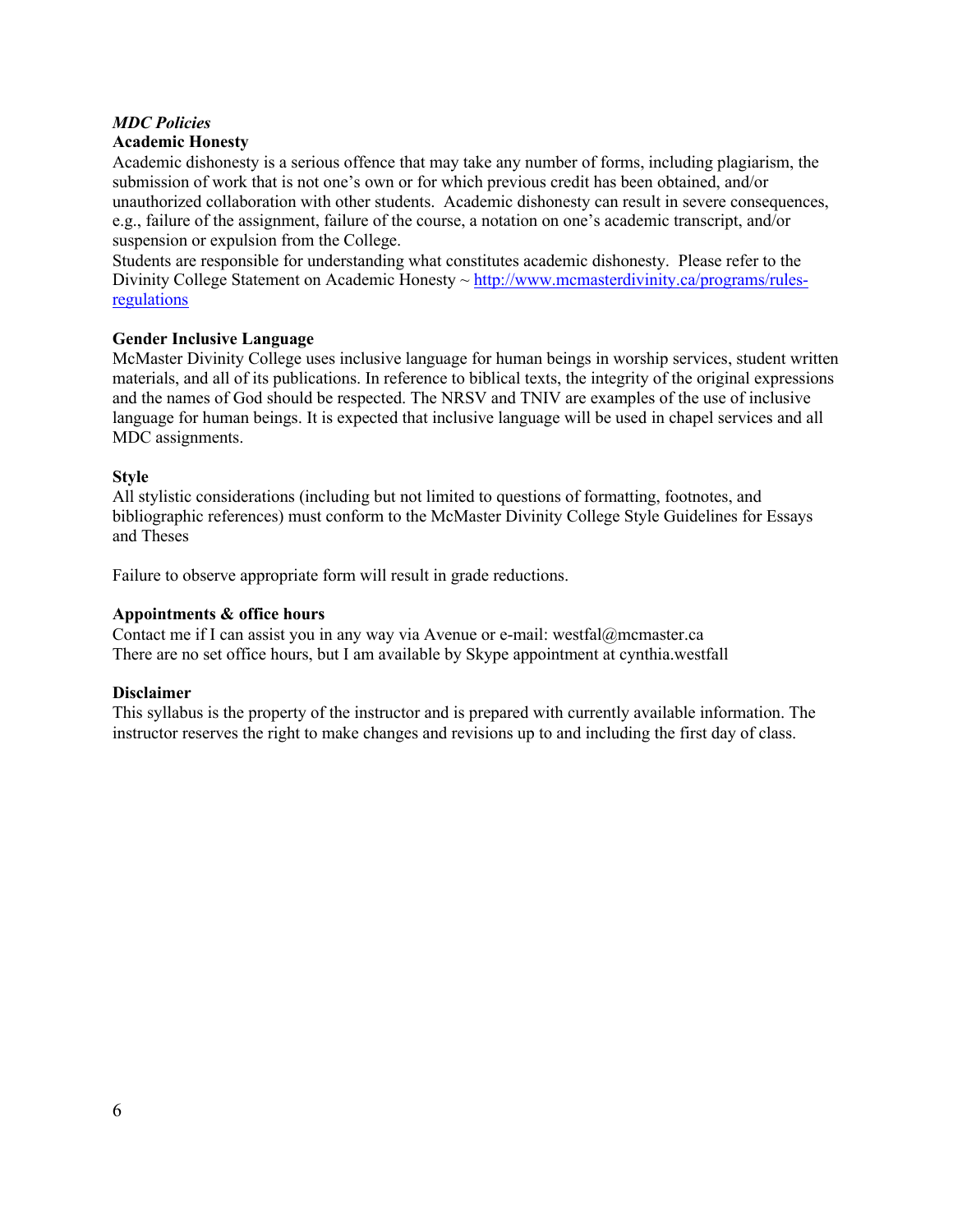# *MDC Policies*

# **Academic Honesty**

Academic dishonesty is a serious offence that may take any number of forms, including plagiarism, the submission of work that is not one's own or for which previous credit has been obtained, and/or unauthorized collaboration with other students. Academic dishonesty can result in severe consequences, e.g., failure of the assignment, failure of the course, a notation on one's academic transcript, and/or suspension or expulsion from the College.

Students are responsible for understanding what constitutes academic dishonesty. Please refer to the Divinity College Statement on Academic Honesty ~ http://www.mcmasterdivinity.ca/programs/rulesregulations

# **Gender Inclusive Language**

McMaster Divinity College uses inclusive language for human beings in worship services, student written materials, and all of its publications. In reference to biblical texts, the integrity of the original expressions and the names of God should be respected. The NRSV and TNIV are examples of the use of inclusive language for human beings. It is expected that inclusive language will be used in chapel services and all MDC assignments.

#### **Style**

All stylistic considerations (including but not limited to questions of formatting, footnotes, and bibliographic references) must conform to the McMaster Divinity College Style Guidelines for Essays and Theses

Failure to observe appropriate form will result in grade reductions.

#### **Appointments & office hours**

Contact me if I can assist you in any way via Avenue or e-mail: westfal@mcmaster.ca There are no set office hours, but I am available by Skype appointment at cynthia.westfall

# **Disclaimer**

This syllabus is the property of the instructor and is prepared with currently available information. The instructor reserves the right to make changes and revisions up to and including the first day of class.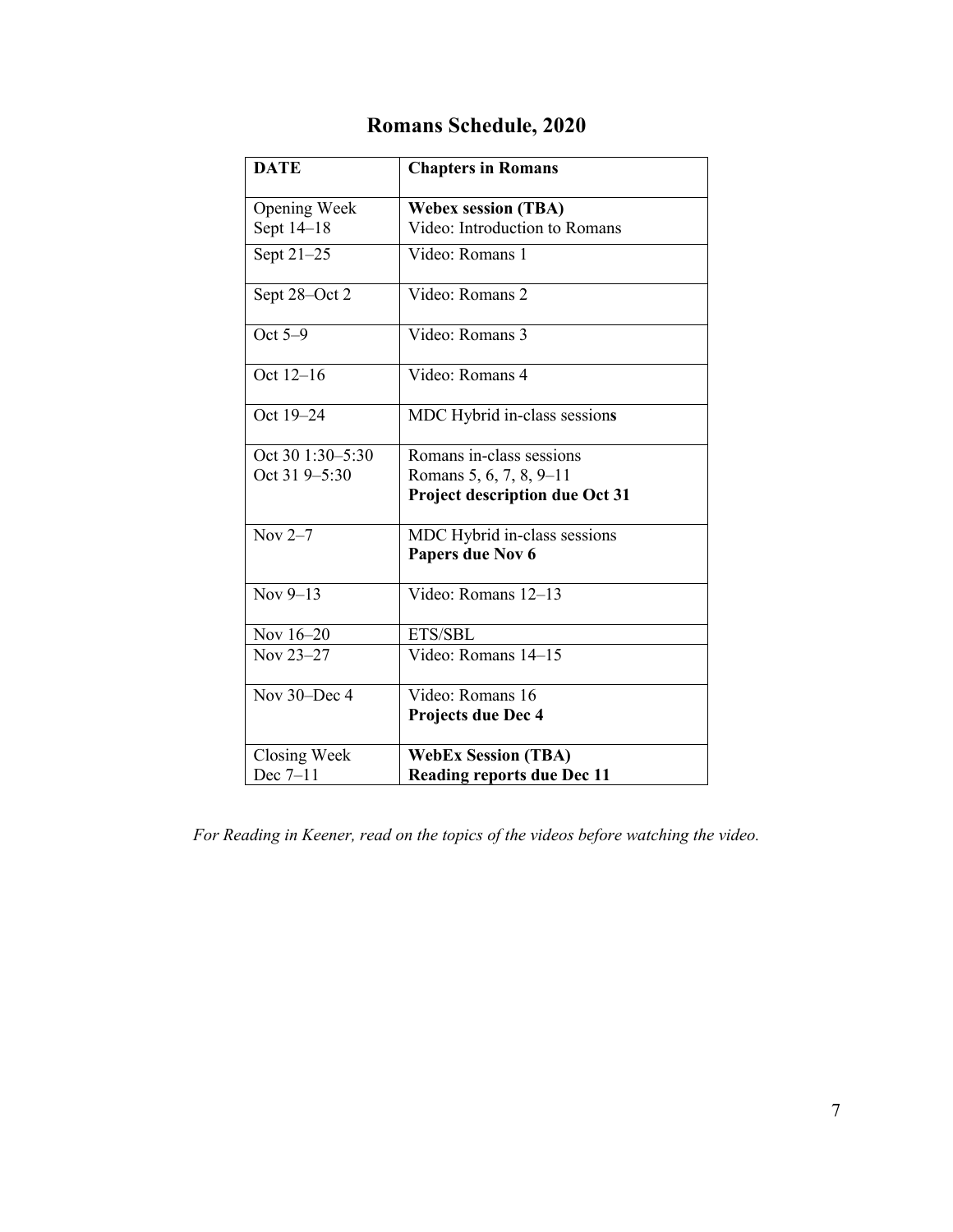| <b>DATE</b>      | <b>Chapters in Romans</b>             |  |
|------------------|---------------------------------------|--|
| Opening Week     | <b>Webex session (TBA)</b>            |  |
| Sept 14-18       | Video: Introduction to Romans         |  |
| Sept 21-25       | Video: Romans 1                       |  |
| Sept 28-Oct 2    | Video: Romans 2                       |  |
| Oct $5-9$        | Video: Romans 3                       |  |
| Oct 12-16        | Video: Romans 4                       |  |
| Oct 19-24        | MDC Hybrid in-class sessions          |  |
| Oct 30 1:30-5:30 | Romans in-class sessions              |  |
| Oct 31 9-5:30    | Romans 5, 6, 7, 8, 9-11               |  |
|                  | <b>Project description due Oct 31</b> |  |
| Nov $2-7$        | MDC Hybrid in-class sessions          |  |
|                  | Papers due Nov 6                      |  |
| Nov $9-13$       | Video: Romans 12-13                   |  |
| Nov 16-20        | ETS/SBL                               |  |
| Nov 23-27        | Video: Romans 14-15                   |  |
| Nov 30-Dec 4     | Video: Romans 16                      |  |
|                  | Projects due Dec 4                    |  |
| Closing Week     | <b>WebEx Session (TBA)</b>            |  |
| Dec $7-11$       | <b>Reading reports due Dec 11</b>     |  |

# **Romans Schedule, 2020**

*For Reading in Keener, read on the topics of the videos before watching the video.*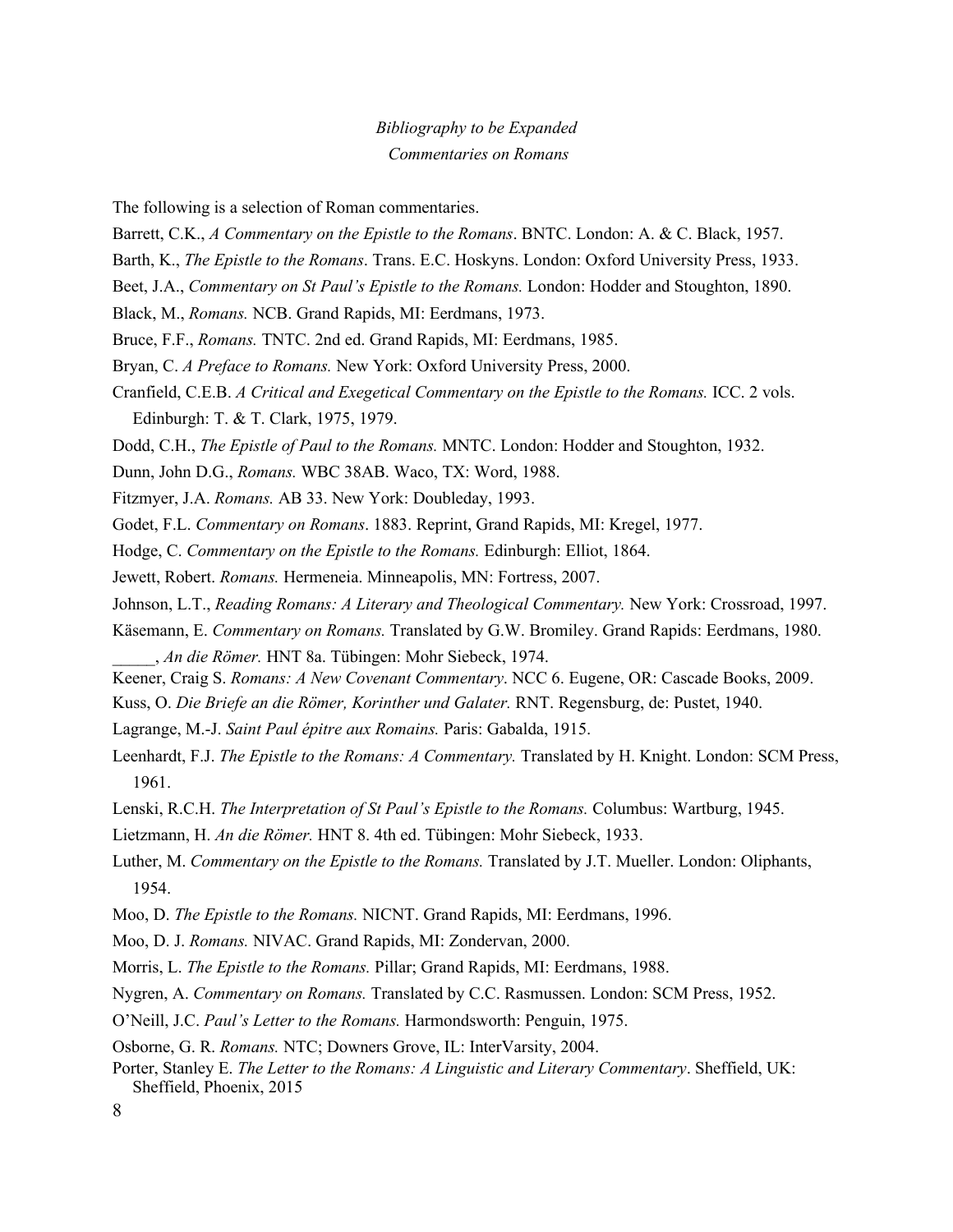# *Bibliography to be Expanded Commentaries on Romans*

The following is a selection of Roman commentaries.

- Barrett, C.K., *A Commentary on the Epistle to the Romans*. BNTC. London: A. & C. Black, 1957.
- Barth, K., *The Epistle to the Romans*. Trans. E.C. Hoskyns. London: Oxford University Press, 1933.
- Beet, J.A., *Commentary on St Paul's Epistle to the Romans.* London: Hodder and Stoughton, 1890.

Black, M., *Romans.* NCB. Grand Rapids, MI: Eerdmans, 1973.

- Bruce, F.F., *Romans.* TNTC. 2nd ed. Grand Rapids, MI: Eerdmans, 1985.
- Bryan, C. *A Preface to Romans.* New York: Oxford University Press, 2000.
- Cranfield, C.E.B. *A Critical and Exegetical Commentary on the Epistle to the Romans.* ICC. 2 vols. Edinburgh: T. & T. Clark, 1975, 1979.
- Dodd, C.H., *The Epistle of Paul to the Romans.* MNTC. London: Hodder and Stoughton, 1932.
- Dunn, John D.G., *Romans.* WBC 38AB. Waco, TX: Word, 1988.
- Fitzmyer, J.A. *Romans.* AB 33. New York: Doubleday, 1993.
- Godet, F.L. *Commentary on Romans*. 1883. Reprint, Grand Rapids, MI: Kregel, 1977.
- Hodge, C. *Commentary on the Epistle to the Romans.* Edinburgh: Elliot, 1864.
- Jewett, Robert. *Romans.* Hermeneia. Minneapolis, MN: Fortress, 2007.
- Johnson, L.T., *Reading Romans: A Literary and Theological Commentary.* New York: Crossroad, 1997.
- Käsemann, E. *Commentary on Romans.* Translated by G.W. Bromiley. Grand Rapids: Eerdmans, 1980.
- \_\_\_\_\_, *An die Römer.* HNT 8a. Tübingen: Mohr Siebeck, 1974.
- Keener, Craig S. *Romans: A New Covenant Commentary*. NCC 6. Eugene, OR: Cascade Books, 2009.
- Kuss, O. *Die Briefe an die Römer, Korinther und Galater.* RNT. Regensburg, de: Pustet, 1940.
- Lagrange, M.-J. *Saint Paul épitre aux Romains.* Paris: Gabalda, 1915.
- Leenhardt, F.J. *The Epistle to the Romans: A Commentary.* Translated by H. Knight. London: SCM Press, 1961.
- Lenski, R.C.H. *The Interpretation of St Paul's Epistle to the Romans.* Columbus: Wartburg, 1945.
- Lietzmann, H. *An die Römer.* HNT 8. 4th ed. Tübingen: Mohr Siebeck, 1933.
- Luther, M. *Commentary on the Epistle to the Romans.* Translated by J.T. Mueller. London: Oliphants, 1954.
- Moo, D. *The Epistle to the Romans.* NICNT. Grand Rapids, MI: Eerdmans, 1996.
- Moo, D. J. *Romans.* NIVAC. Grand Rapids, MI: Zondervan, 2000.
- Morris, L. *The Epistle to the Romans.* Pillar; Grand Rapids, MI: Eerdmans, 1988.
- Nygren, A. *Commentary on Romans.* Translated by C.C. Rasmussen. London: SCM Press, 1952.
- O'Neill, J.C. *Paul's Letter to the Romans.* Harmondsworth: Penguin, 1975.
- Osborne, G. R. *Romans.* NTC; Downers Grove, IL: InterVarsity, 2004.
- Porter, Stanley E. *The Letter to the Romans: A Linguistic and Literary Commentary*. Sheffield, UK: Sheffield, Phoenix, 2015

<sup>8</sup>